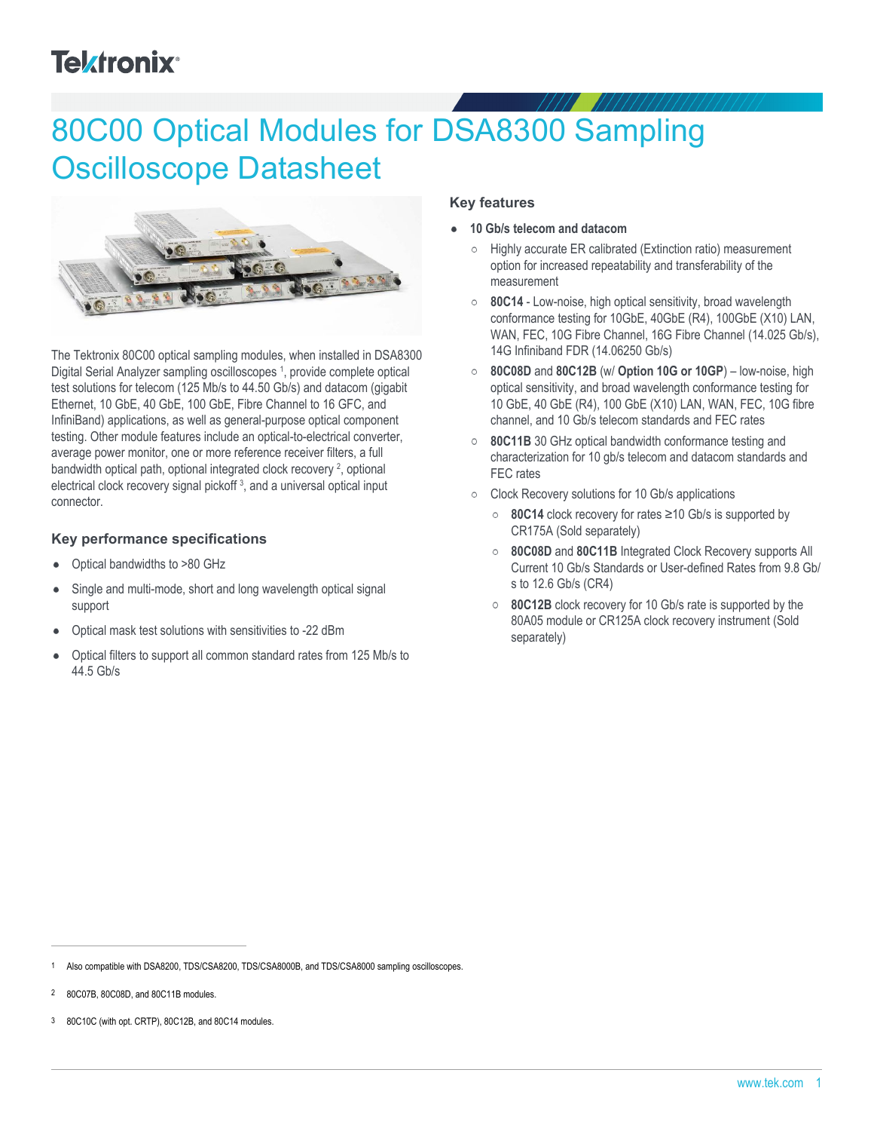# **Tektronix®**

# 80C00 Optical Modules for DSA8300 Sampling Oscilloscope Datasheet



The Tektronix 80C00 optical sampling modules, when installed in DSA8300 Digital Serial Analyzer sampling oscilloscopes<sup>1</sup>, provide complete optical test solutions for telecom (125 Mb/s to 44.50 Gb/s) and datacom (gigabit Ethernet, 10 GbE, 40 GbE, 100 GbE, Fibre Channel to 16 GFC, and InfiniBand) applications, as well as general-purpose optical component testing. Other module features include an optical-to-electrical converter, average power monitor, one or more reference receiver filters, a full bandwidth optical path, optional integrated clock recovery<sup>2</sup>, optional electrical clock recovery signal pickoff<sup>3</sup>, and a universal optical input connector.

#### **Key performance specifications**

- Optical bandwidths to >80 GHz  $\bullet$
- Single and multi-mode, short and long wavelength optical signal support
- Optical mask test solutions with sensitivities to -22 dBm
- Optical filters to support all common standard rates from 125 Mb/s to  $\bullet$ 44.5 Gb/s

#### **Key features**

- **10 Gb/s telecom and datacom**
	- Highly accurate ER calibrated (Extinction ratio) measurement option for increased repeatability and transferability of the measurement
	- **80C14** Low-noise, high optical sensitivity, broad wavelength  $\circ$ conformance testing for 10GbE, 40GbE (R4), 100GbE (X10) LAN, WAN, FEC, 10G Fibre Channel, 16G Fibre Channel (14.025 Gb/s), 14G Infiniband FDR (14.06250 Gb/s)
	- **80C08D** and **80C12B** (w/ **Option 10G or 10GP**) low-noise, high optical sensitivity, and broad wavelength conformance testing for 10 GbE, 40 GbE (R4), 100 GbE (X10) LAN, WAN, FEC, 10G fibre channel, and 10 Gb/s telecom standards and FEC rates
	- **80C11B** 30 GHz optical bandwidth conformance testing and characterization for 10 gb/s telecom and datacom standards and FEC rates
	- Clock Recovery solutions for 10 Gb/s applications
		- **80C14** clock recovery for rates ≥10 Gb/s is supported by CR175A (Sold separately)
		- **80C08D** and **80C11B** Integrated Clock Recovery supports All  $\circ$ Current 10 Gb/s Standards or User-defined Rates from 9.8 Gb/ s to 12.6 Gb/s (CR4)
		- **80C12B** clock recovery for 10 Gb/s rate is supported by the  $\circ$ 80A05 module or CR125A clock recovery instrument (Sold separately)

Also compatible with DSA8200, TDS/CSA8200, TDS/CSA8000B, and TDS/CSA8000 sampling oscilloscopes.

<sup>2</sup> 80C07B, 80C08D, and 80C11B modules.

<sup>3</sup> 80C10C (with opt. CRTP), 80C12B, and 80C14 modules.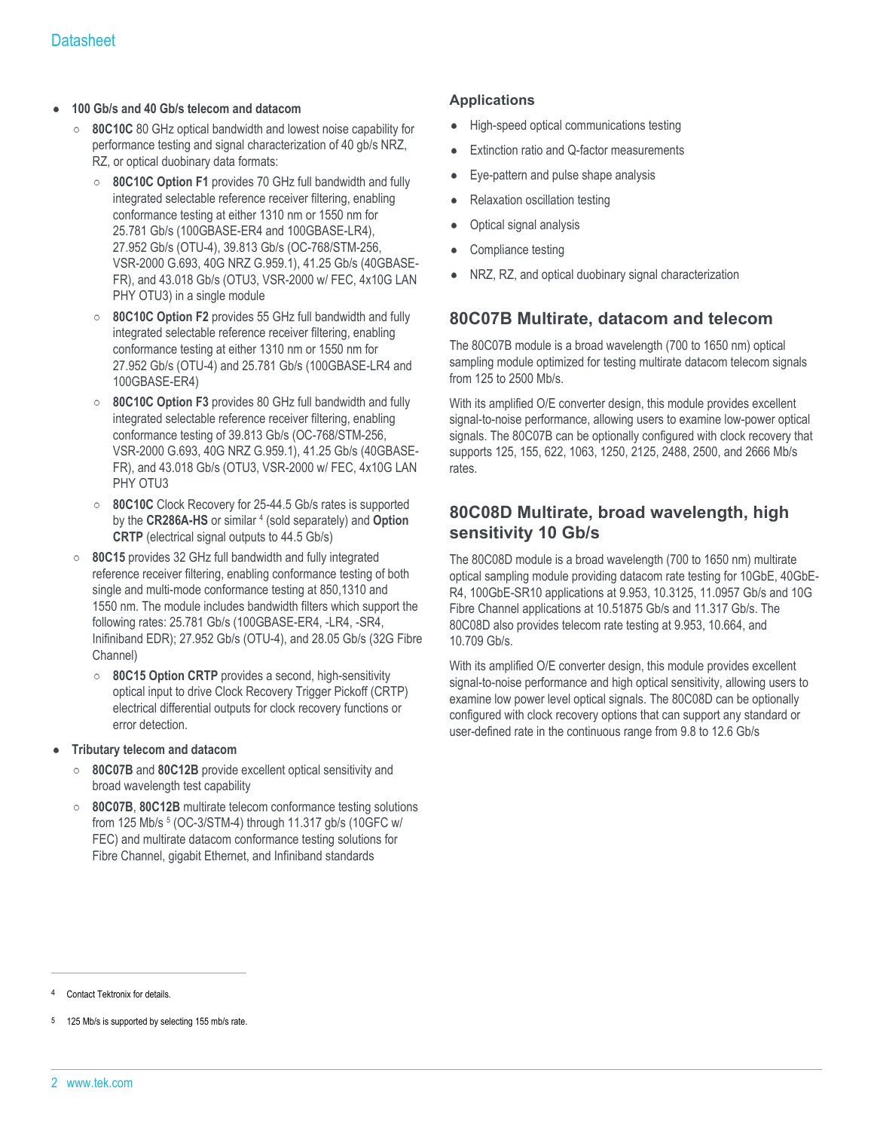#### **100 Gb/s and 40 Gb/s telecom and datacom**

- **80C10C** 80 GHz optical bandwidth and lowest noise capability for performance testing and signal characterization of 40 gb/s NRZ, RZ, or optical duobinary data formats:
	- **80C10C Option F1** provides 70 GHz full bandwidth and fully  $\circ$ integrated selectable reference receiver filtering, enabling conformance testing at either 1310 nm or 1550 nm for 25.781 Gb/s (100GBASE-ER4 and 100GBASE-LR4), 27.952 Gb/s (OTU-4), 39.813 Gb/s (OC-768/STM-256, VSR-2000 G.693, 40G NRZ G.959.1), 41.25 Gb/s (40GBASE-FR), and 43.018 Gb/s (OTU3, VSR-2000 w/ FEC, 4x10G LAN PHY OTU3) in a single module
	- **80C10C Option F2** provides 55 GHz full bandwidth and fully  $\circ$ integrated selectable reference receiver filtering, enabling conformance testing at either 1310 nm or 1550 nm for 27.952 Gb/s (OTU-4) and 25.781 Gb/s (100GBASE-LR4 and 100GBASE-ER4)
	- **80C10C Option F3** provides 80 GHz full bandwidth and fully  $\circ$ integrated selectable reference receiver filtering, enabling conformance testing of 39.813 Gb/s (OC-768/STM-256, VSR-2000 G.693, 40G NRZ G.959.1), 41.25 Gb/s (40GBASE-FR), and 43.018 Gb/s (OTU3, VSR-2000 w/ FEC, 4x10G LAN PHY OTU3
	- **80C10C** Clock Recovery for 25-44.5 Gb/s rates is supported  $\circ$ by the CR286A-HS or similar <sup>4</sup> (sold separately) and Option **CRTP** (electrical signal outputs to 44.5 Gb/s)
- **80C15** provides 32 GHz full bandwidth and fully integrated  $\circ$ reference receiver filtering, enabling conformance testing of both single and multi-mode conformance testing at 850,1310 and 1550 nm. The module includes bandwidth filters which support the following rates: 25.781 Gb/s (100GBASE-ER4, -LR4, -SR4, Inifiniband EDR); 27.952 Gb/s (OTU-4), and 28.05 Gb/s (32G Fibre Channel)
	- $\circ$ **80C15 Option CRTP** provides a second, high-sensitivity optical input to drive Clock Recovery Trigger Pickoff (CRTP) electrical differential outputs for clock recovery functions or error detection.
- **Tributary telecom and datacom**
	- **80C07B** and **80C12B** provide excellent optical sensitivity and  $\circ$ broad wavelength test capability
	- $\circ$ **80C07B**, **80C12B** multirate telecom conformance testing solutions from 125 Mb/s <sup>5</sup> (OC-3/STM-4) through 11.317 gb/s (10GFC w/ FEC) and multirate datacom conformance testing solutions for Fibre Channel, gigabit Ethernet, and Infiniband standards

#### **Applications**

- High-speed optical communications testing
- Extinction ratio and Q-factor measurements
- Eye-pattern and pulse shape analysis
- Relaxation oscillation testing
- Optical signal analysis
- Compliance testing
- NRZ, RZ, and optical duobinary signal characterization

#### **80C07B Multirate, datacom and telecom**

The 80C07B module is a broad wavelength (700 to 1650 nm) optical sampling module optimized for testing multirate datacom telecom signals from 125 to 2500 Mb/s.

With its amplified O/E converter design, this module provides excellent signal-to-noise performance, allowing users to examine low-power optical signals. The 80C07B can be optionally configured with clock recovery that supports 125, 155, 622, 1063, 1250, 2125, 2488, 2500, and 2666 Mb/s rates.

### **80C08D Multirate, broad wavelength, high sensitivity 10 Gb/s**

The 80C08D module is a broad wavelength (700 to 1650 nm) multirate optical sampling module providing datacom rate testing for 10GbE, 40GbE-R4, 100GbE-SR10 applications at 9.953, 10.3125, 11.0957 Gb/s and 10G Fibre Channel applications at 10.51875 Gb/s and 11.317 Gb/s. The 80C08D also provides telecom rate testing at 9.953, 10.664, and 10.709 Gb/s.

With its amplified O/E converter design, this module provides excellent signal-to-noise performance and high optical sensitivity, allowing users to examine low power level optical signals. The 80C08D can be optionally configured with clock recovery options that can support any standard or user-defined rate in the continuous range from 9.8 to 12.6 Gb/s

Contact Tektronix for details.

<sup>125</sup> Mb/s is supported by selecting 155 mb/s rate.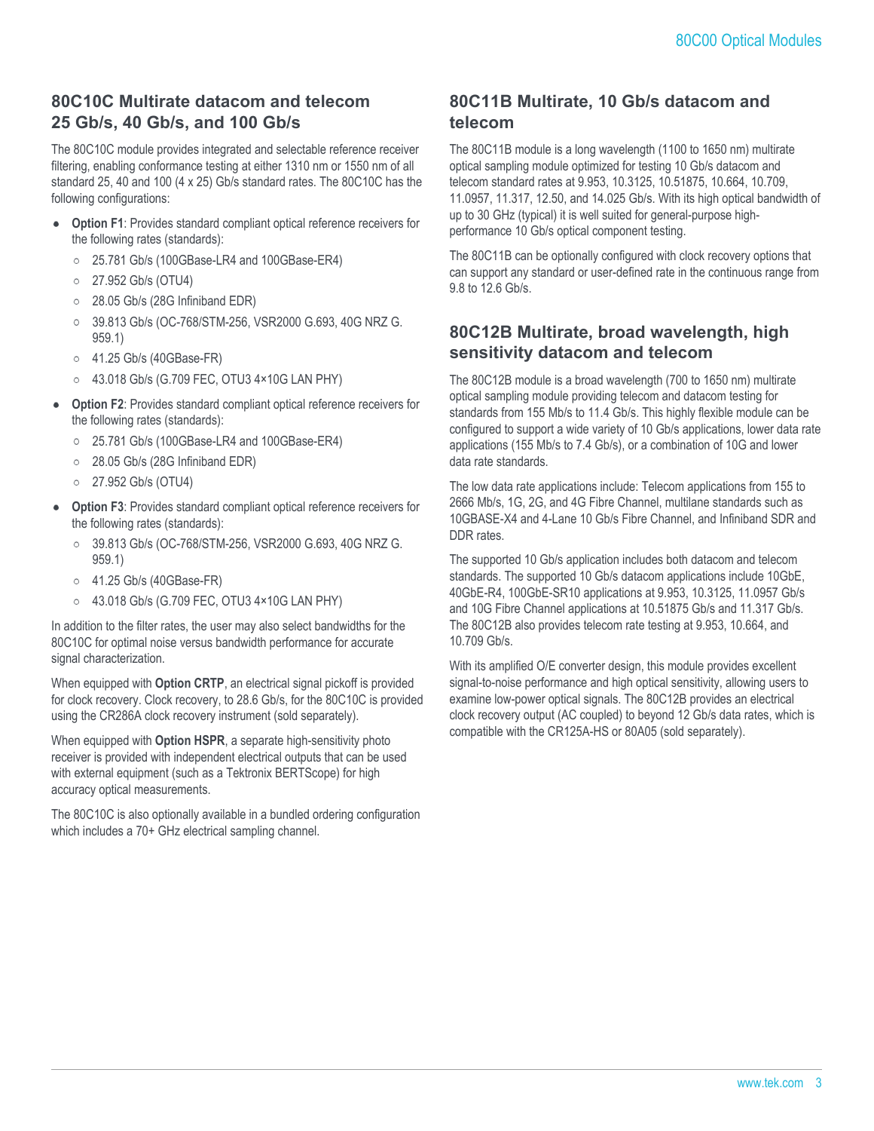## **80C10C Multirate datacom and telecom 25 Gb/s, 40 Gb/s, and 100 Gb/s**

The 80C10C module provides integrated and selectable reference receiver filtering, enabling conformance testing at either 1310 nm or 1550 nm of all standard 25, 40 and 100 (4 x 25) Gb/s standard rates. The 80C10C has the following configurations:

- **Option F1**: Provides standard compliant optical reference receivers for the following rates (standards):
	- 25.781 Gb/s (100GBase-LR4 and 100GBase-ER4)
	- 27.952 Gb/s (OTU4)  $\circ$
	- 28.05 Gb/s (28G Infiniband EDR)  $\circ$
	- $\circ$ 39.813 Gb/s (OC-768/STM-256, VSR2000 G.693, 40G NRZ G. 959.1)
	- $\circ$ 41.25 Gb/s (40GBase-FR)
	- 43.018 Gb/s (G.709 FEC, OTU3 4×10G LAN PHY)
- **Option F2**: Provides standard compliant optical reference receivers for the following rates (standards):
	- 25.781 Gb/s (100GBase-LR4 and 100GBase-ER4)
	- $\circ$ 28.05 Gb/s (28G Infiniband EDR)
	- $\circ$ 27.952 Gb/s (OTU4)
- **Option F3**: Provides standard compliant optical reference receivers for  $\bullet$ the following rates (standards):
	- 39.813 Gb/s (OC-768/STM-256, VSR2000 G.693, 40G NRZ G.  $\circ$ 959.1)
	- 41.25 Gb/s (40GBase-FR)
	- 43.018 Gb/s (G.709 FEC, OTU3 4×10G LAN PHY)

In addition to the filter rates, the user may also select bandwidths for the 80C10C for optimal noise versus bandwidth performance for accurate signal characterization.

When equipped with **Option CRTP**, an electrical signal pickoff is provided for clock recovery. Clock recovery, to 28.6 Gb/s, for the 80C10C is provided using the CR286A clock recovery instrument (sold separately).

When equipped with **Option HSPR**, a separate high-sensitivity photo receiver is provided with independent electrical outputs that can be used with external equipment (such as a Tektronix BERTScope) for high accuracy optical measurements.

The 80C10C is also optionally available in a bundled ordering configuration which includes a 70+ GHz electrical sampling channel.

## **80C11B Multirate, 10 Gb/s datacom and telecom**

The 80C11B module is a long wavelength (1100 to 1650 nm) multirate optical sampling module optimized for testing 10 Gb/s datacom and telecom standard rates at 9.953, 10.3125, 10.51875, 10.664, 10.709, 11.0957, 11.317, 12.50, and 14.025 Gb/s. With its high optical bandwidth of up to 30 GHz (typical) it is well suited for general-purpose highperformance 10 Gb/s optical component testing.

The 80C11B can be optionally configured with clock recovery options that can support any standard or user-defined rate in the continuous range from 9.8 to 12.6 Gb/s.

## **80C12B Multirate, broad wavelength, high sensitivity datacom and telecom**

The 80C12B module is a broad wavelength (700 to 1650 nm) multirate optical sampling module providing telecom and datacom testing for standards from 155 Mb/s to 11.4 Gb/s. This highly flexible module can be configured to support a wide variety of 10 Gb/s applications, lower data rate applications (155 Mb/s to 7.4 Gb/s), or a combination of 10G and lower data rate standards.

The low data rate applications include: Telecom applications from 155 to 2666 Mb/s, 1G, 2G, and 4G Fibre Channel, multilane standards such as 10GBASE-X4 and 4-Lane 10 Gb/s Fibre Channel, and Infiniband SDR and DDR rates.

The supported 10 Gb/s application includes both datacom and telecom standards. The supported 10 Gb/s datacom applications include 10GbE, 40GbE-R4, 100GbE-SR10 applications at 9.953, 10.3125, 11.0957 Gb/s and 10G Fibre Channel applications at 10.51875 Gb/s and 11.317 Gb/s. The 80C12B also provides telecom rate testing at 9.953, 10.664, and 10.709 Gb/s.

With its amplified O/E converter design, this module provides excellent signal-to-noise performance and high optical sensitivity, allowing users to examine low-power optical signals. The 80C12B provides an electrical clock recovery output (AC coupled) to beyond 12 Gb/s data rates, which is compatible with the CR125A-HS or 80A05 (sold separately).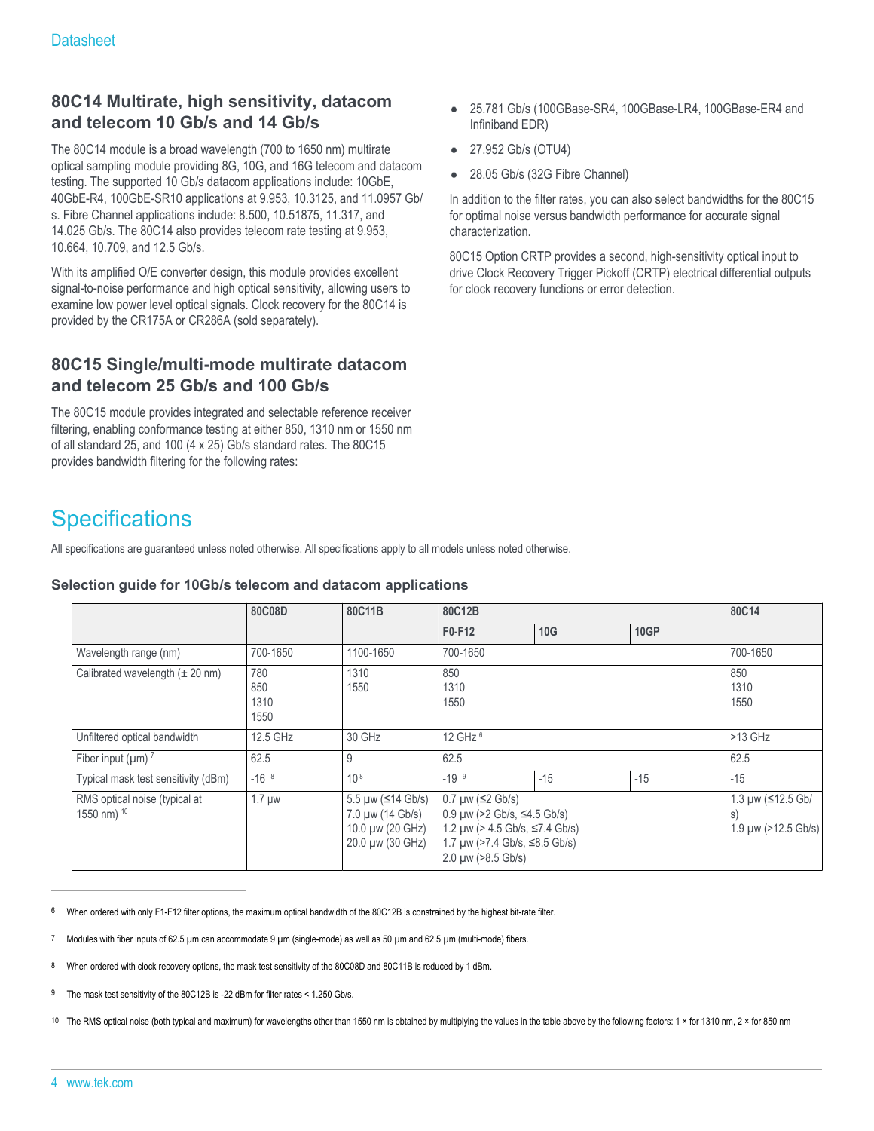## **80C14 Multirate, high sensitivity, datacom and telecom 10 Gb/s and 14 Gb/s**

The 80C14 module is a broad wavelength (700 to 1650 nm) multirate optical sampling module providing 8G, 10G, and 16G telecom and datacom testing. The supported 10 Gb/s datacom applications include: 10GbE, 40GbE-R4, 100GbE-SR10 applications at 9.953, 10.3125, and 11.0957 Gb/ s. Fibre Channel applications include: 8.500, 10.51875, 11.317, and 14.025 Gb/s. The 80C14 also provides telecom rate testing at 9.953, 10.664, 10.709, and 12.5 Gb/s.

With its amplified O/E converter design, this module provides excellent signal-to-noise performance and high optical sensitivity, allowing users to examine low power level optical signals. Clock recovery for the 80C14 is provided by the CR175A or CR286A (sold separately).

## **80C15 Single/multi-mode multirate datacom and telecom 25 Gb/s and 100 Gb/s**

The 80C15 module provides integrated and selectable reference receiver filtering, enabling conformance testing at either 850, 1310 nm or 1550 nm of all standard 25, and 100 (4 x 25) Gb/s standard rates. The 80C15 provides bandwidth filtering for the following rates:

- 25.781 Gb/s (100GBase-SR4, 100GBase-LR4, 100GBase-ER4 and Infiniband EDR)
- 27.952 Gb/s (OTU4)
- 28.05 Gb/s (32G Fibre Channel)

In addition to the filter rates, you can also select bandwidths for the 80C15 for optimal noise versus bandwidth performance for accurate signal characterization.

80C15 Option CRTP provides a second, high-sensitivity optical input to drive Clock Recovery Trigger Pickoff (CRTP) electrical differential outputs for clock recovery functions or error detection.

## **Specifications**

All specifications are guaranteed unless noted otherwise. All specifications apply to all models unless noted otherwise.

#### **Selection guide for 10Gb/s telecom and datacom applications**

|                                                         | 80C08D                     | 80C11B                                                                        | 80C12B                                                                                                                                                                 |       |             | 80C14                                          |
|---------------------------------------------------------|----------------------------|-------------------------------------------------------------------------------|------------------------------------------------------------------------------------------------------------------------------------------------------------------------|-------|-------------|------------------------------------------------|
|                                                         |                            |                                                                               | F0-F12                                                                                                                                                                 | 10G   | <b>10GP</b> |                                                |
| Wavelength range (nm)                                   | 700-1650                   | 1100-1650                                                                     | 700-1650                                                                                                                                                               |       |             | 700-1650                                       |
| Calibrated wavelength $(\pm 20 \text{ nm})$             | 780<br>850<br>1310<br>1550 | 1310<br>1550                                                                  | 850<br>1310<br>1550                                                                                                                                                    |       |             | 850<br>1310<br>1550                            |
| Unfiltered optical bandwidth                            | 12.5 GHz                   | 30 GHz                                                                        | 12 GHz 6                                                                                                                                                               |       |             | $>13$ GHz                                      |
| Fiber input ( $\mu$ m) $^7$                             | 62.5                       | 9                                                                             | 62.5                                                                                                                                                                   |       |             | 62.5                                           |
| Typical mask test sensitivity (dBm)                     | $-16^{8}$                  | $10^{8}$                                                                      | $-19^{9}$                                                                                                                                                              | $-15$ | $-15$       | $-15$                                          |
| RMS optical noise (typical at<br>1550 nm) <sup>10</sup> | $1.7 \mu w$                | 5.5 µw (≤14 Gb/s)<br>7.0 µw (14 Gb/s)<br>10.0 µw (20 GHz)<br>20.0 µw (30 GHz) | $0.7 \mu w$ ( $\leq$ 2 Gb/s)<br>$0.9 \mu w$ (>2 Gb/s, ≤4.5 Gb/s)<br>$1.2 \mu w$ (> 4.5 Gb/s, ≤7.4 Gb/s)<br>1.7 µw (>7.4 Gb/s, ≤8.5 Gb/s)<br>$2.0 \mu w$ ( $>8.5$ Gb/s) |       |             | 1.3 µw (≤12.5 Gb/<br>S)<br>1.9 µw (>12.5 Gb/s) |

6 When ordered with only F1-F12 filter options, the maximum optical bandwidth of the 80C12B is constrained by the highest bit-rate filter.

- Modules with fiber inputs of 62.5 µm can accommodate 9 µm (single-mode) as well as 50 µm and 62.5 µm (multi-mode) fibers.
- 8 When ordered with clock recovery options, the mask test sensitivity of the 80C08D and 80C11B is reduced by 1 dBm.

9 The mask test sensitivity of the 80C12B is -22 dBm for filter rates < 1.250 Gb/s.

10 The RMS optical noise (both typical and maximum) for wavelengths other than 1550 nm is obtained by multiplying the values in the table above by the following factors: 1 × for 1310 nm, 2 × for 850 nm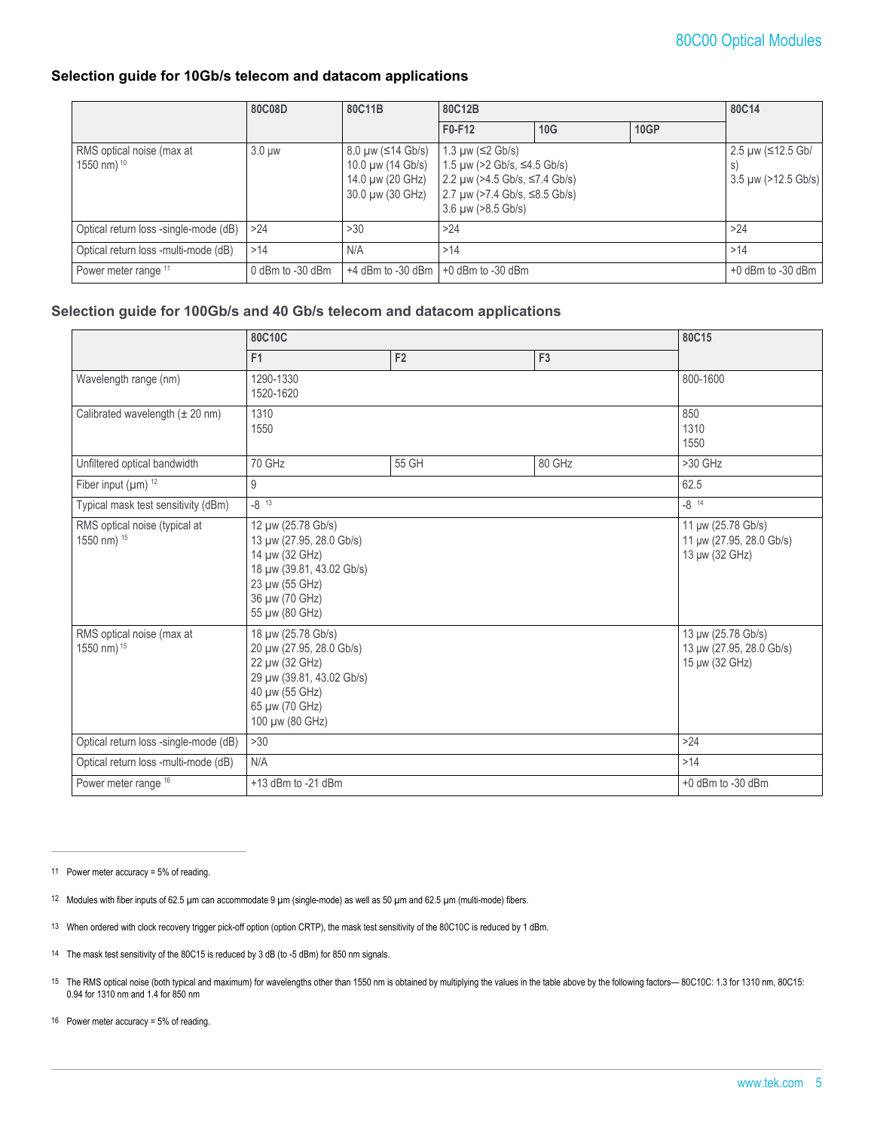#### **Selection guide for 10Gb/s telecom and datacom applications**

|                                                     | 80C08D           | 80C11B                                                                              | 80C12B                                                                                                                                                                 |     |                     | 80C14                                         |  |
|-----------------------------------------------------|------------------|-------------------------------------------------------------------------------------|------------------------------------------------------------------------------------------------------------------------------------------------------------------------|-----|---------------------|-----------------------------------------------|--|
|                                                     |                  |                                                                                     | F0-F12                                                                                                                                                                 | 10G | <b>10GP</b>         |                                               |  |
| RMS optical noise (max at<br>1550 nm) <sup>10</sup> | $3.0 \mu w$      | $8.0 \mu w$ (≤14 Gb/s)<br>10.0 µw (14 Gb/s)<br>14.0 µw (20 GHz)<br>30.0 µw (30 GHz) | 1.3 $\mu$ w ( $\leq$ 2 Gb/s)<br>1.5 µw (>2 Gb/s, ≤4.5 Gb/s)<br>2.2 µw ( $>4.5$ Gb/s, ≤7.4 Gb/s)<br>2.7 µw (>7.4 Gb/s, ≤8.5 Gb/s)<br>$3.6 \mu w$ ( $>8.5 \text{Gb/s}$ ) |     |                     | 2.5 µw (≤12.5 Gb/<br>$3.5 \mu w$ (>12.5 Gb/s) |  |
| Optical return loss -single-mode (dB)               | >24              | >30                                                                                 | >24                                                                                                                                                                    |     |                     | >24                                           |  |
| Optical return loss -multi-mode (dB)                | >14              | N/A                                                                                 | >14<br>$+0$ dBm to -30 dBm                                                                                                                                             |     |                     | >14                                           |  |
| Power meter range 11                                | 0 dBm to -30 dBm | $+4$ dBm to $-30$ dBm                                                               |                                                                                                                                                                        |     | $+0$ dBm to -30 dBm |                                               |  |

#### **Selection guide for 100Gb/s and 40 Gb/s telecom and datacom applications**

|                                              | 80C10C                                                                                                                                               |       |                                                                  | 80C15                                                            |
|----------------------------------------------|------------------------------------------------------------------------------------------------------------------------------------------------------|-------|------------------------------------------------------------------|------------------------------------------------------------------|
|                                              | F <sub>1</sub>                                                                                                                                       | F2    | F <sub>3</sub>                                                   |                                                                  |
| Wavelength range (nm)                        | 1290-1330<br>1520-1620                                                                                                                               |       |                                                                  | 800-1600                                                         |
| Calibrated wavelength $(\pm 20 \text{ nm})$  | 1310<br>1550                                                                                                                                         |       |                                                                  | 850<br>1310<br>1550                                              |
| Unfiltered optical bandwidth                 | 70 GHz                                                                                                                                               | 55 GH | 80 GHz                                                           | $>30$ GHz                                                        |
| Fiber input $(\mu m)^{12}$                   | 9                                                                                                                                                    |       |                                                                  | 62.5                                                             |
| Typical mask test sensitivity (dBm)          | $-8^{13}$                                                                                                                                            |       |                                                                  | $-8^{14}$                                                        |
| RMS optical noise (typical at<br>1550 nm) 15 | 12 µw (25.78 Gb/s)<br>13 µw (27.95, 28.0 Gb/s)<br>14 µw (32 GHz)<br>18 µw (39.81, 43.02 Gb/s)<br>23 µw (55 GHz)<br>36 µw (70 GHz)<br>55 µw (80 GHz)  |       |                                                                  | 11 µw (25.78 Gb/s)<br>11 µw (27.95, 28.0 Gb/s)<br>13 µw (32 GHz) |
| RMS optical noise (max at<br>1550 nm) 15     | 18 µw (25.78 Gb/s)<br>20 µw (27.95, 28.0 Gb/s)<br>22 µw (32 GHz)<br>29 µw (39.81, 43.02 Gb/s)<br>40 µw (55 GHz)<br>65 µw (70 GHz)<br>100 µw (80 GHz) |       | 13 µw (25.78 Gb/s)<br>13 µw (27.95, 28.0 Gb/s)<br>15 µw (32 GHz) |                                                                  |
| Optical return loss -single-mode (dB)        | >30                                                                                                                                                  |       |                                                                  | $>24$                                                            |
| Optical return loss -multi-mode (dB)         | N/A                                                                                                                                                  |       |                                                                  | >14                                                              |
| Power meter range 16                         | $+13$ dBm to -21 dBm                                                                                                                                 |       |                                                                  | $+0$ dBm to -30 dBm                                              |

11 Power meter accuracy = 5% of reading.

- 13 When ordered with clock recovery trigger pick-off option (option CRTP), the mask test sensitivity of the 80C10C is reduced by 1 dBm.
- 14 The mask test sensitivity of the 80C15 is reduced by 3 dB (to -5 dBm) for 850 nm signals.
- 15 The RMS optical noise (both typical and maximum) for wavelengths other than 1550 nm is obtained by multiplying the values in the table above by the following factors— 80C10C: 1.3 for 1310 nm, 80C15: 0.94 for 1310 nm and 1.4 for 850 nm

16 Power meter accuracy = 5% of reading.

<sup>12</sup> Modules with fiber inputs of 62.5 µm can accommodate 9 µm (single-mode) as well as 50 µm and 62.5 µm (multi-mode) fibers.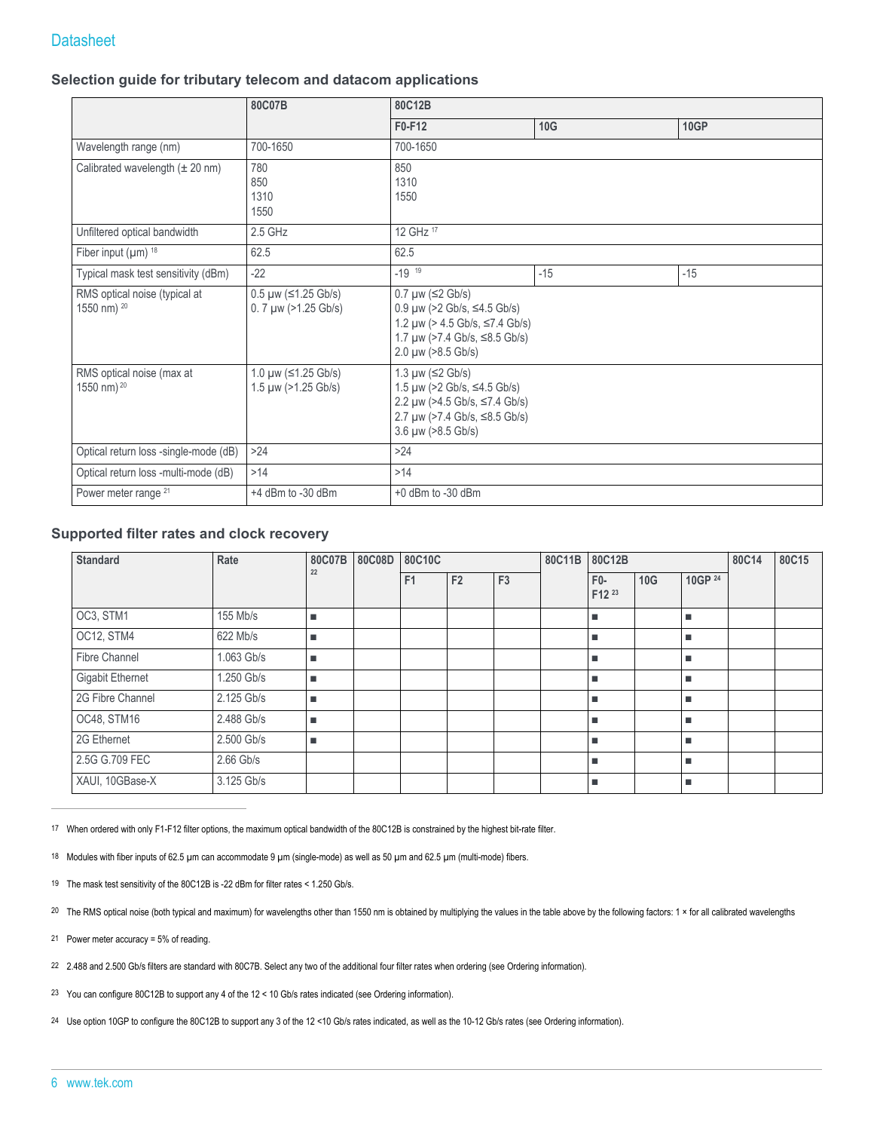## **Datasheet**

#### **Selection guide for tributary telecom and datacom applications**

|                                                         | 80C07B                                                                 | 80C12B                                                                                                                                                                                        |       |       |  |  |
|---------------------------------------------------------|------------------------------------------------------------------------|-----------------------------------------------------------------------------------------------------------------------------------------------------------------------------------------------|-------|-------|--|--|
|                                                         |                                                                        | F0-F12                                                                                                                                                                                        | 10G   | 10GP  |  |  |
| Wavelength range (nm)                                   | 700-1650                                                               | 700-1650                                                                                                                                                                                      |       |       |  |  |
| Calibrated wavelength $(\pm 20 \text{ nm})$             | 780<br>850<br>1310<br>1550                                             | 850<br>1310<br>1550                                                                                                                                                                           |       |       |  |  |
| Unfiltered optical bandwidth                            | 2.5 GHz                                                                | 12 GHz 17                                                                                                                                                                                     |       |       |  |  |
| Fiber input $(\mu m)^{18}$                              | 62.5                                                                   | 62.5                                                                                                                                                                                          |       |       |  |  |
| Typical mask test sensitivity (dBm)                     | $-22$                                                                  | $-19^{19}$                                                                                                                                                                                    | $-15$ | $-15$ |  |  |
| RMS optical noise (typical at<br>1550 nm) <sup>20</sup> | $0.5 \mu w$ ( $\leq 1.25$ Gb/s)<br>$0.7 \mu w$ ( $>1.25 \text{Gb/s}$ ) | $0.7 \mu w$ ( $\leq$ 2 Gb/s)<br>$0.9 \mu w$ (>2 Gb/s, $\leq 4.5$ Gb/s)<br>1.2 $\mu$ w (> 4.5 Gb/s, $\leq$ 7.4 Gb/s)<br>1.7 $\mu$ w (>7.4 Gb/s, $\leq$ 8.5 Gb/s)<br>$2.0 \mu w$ ( $>8.5$ Gb/s) |       |       |  |  |
| RMS optical noise (max at<br>1550 nm) <sup>20</sup>     | 1.0 $\mu$ w ( $\leq$ 1.25 Gb/s)<br>1.5 µw (>1.25 Gb/s)                 | 1.3 $\mu$ w (≤2 Gb/s)<br>1.5 $\mu$ w (>2 Gb/s, ≤4.5 Gb/s)<br>2.2 $\mu$ w (>4.5 Gb/s, ≤7.4 Gb/s)<br>2.7 $\mu$ w (>7.4 Gb/s, $\leq$ 8.5 Gb/s)<br>$3.6 \mu w$ ( $>8.5 \text{Gb/s}$ )             |       |       |  |  |
| Optical return loss -single-mode (dB)                   | $>24$                                                                  | >24                                                                                                                                                                                           |       |       |  |  |
| Optical return loss -multi-mode (dB)                    | >14                                                                    | >14                                                                                                                                                                                           |       |       |  |  |
| Power meter range <sup>21</sup>                         | $+4$ dBm to -30 dBm                                                    | $+0$ dBm to -30 dBm                                                                                                                                                                           |       |       |  |  |

#### **Supported filter rates and clock recovery**

| <b>Standard</b>      | Rate        | 80C07B | 80C10C<br>80C08D |                |                |                | 80C11B | 80C12B          |            |         | 80C14 | 80C15 |
|----------------------|-------------|--------|------------------|----------------|----------------|----------------|--------|-----------------|------------|---------|-------|-------|
|                      |             | 22     |                  | F <sub>1</sub> | F <sub>2</sub> | F <sub>3</sub> |        | $F0-$<br>F12 23 | <b>10G</b> | 10GP 24 |       |       |
| OC3, STM1            | 155 Mb/s    | ш      |                  |                |                |                |        | ٠               |            | ٠       |       |       |
| OC12, STM4           | 622 Mb/s    | ٠      |                  |                |                |                |        | ٠               |            | ٠       |       |       |
| <b>Fibre Channel</b> | 1.063 Gb/s  | ٠      |                  |                |                |                |        | ٠               |            | ٠       |       |       |
| Gigabit Ethernet     | 1.250 Gb/s  | ш      |                  |                |                |                |        | ٠               |            | ٠       |       |       |
| 2G Fibre Channel     | 2.125 Gb/s  | ٠      |                  |                |                |                |        | ٠               |            | ٠       |       |       |
| OC48, STM16          | 2.488 Gb/s  | ٠      |                  |                |                |                |        | ٠               |            | ٠       |       |       |
| 2G Ethernet          | 2.500 Gb/s  | ٠      |                  |                |                |                |        | ٠               |            | ٠       |       |       |
| 2.5G G.709 FEC       | $2.66$ Gb/s |        |                  |                |                |                |        | ٠               |            | ٠       |       |       |
| XAUI, 10GBase-X      | 3.125 Gb/s  |        |                  |                |                |                |        | ٠               |            | ٠       |       |       |

17 When ordered with only F1-F12 filter options, the maximum optical bandwidth of the 80C12B is constrained by the highest bit-rate filter.

18 Modules with fiber inputs of 62.5 µm can accommodate 9 µm (single-mode) as well as 50 µm and 62.5 µm (multi-mode) fibers.

19 The mask test sensitivity of the 80C12B is -22 dBm for filter rates < 1.250 Gb/s.

20 The RMS optical noise (both typical and maximum) for wavelengths other than 1550 nm is obtained by multiplying the values in the table above by the following factors: 1 × for all calibrated wavelengths

21 Power meter accuracy = 5% of reading.

22 2.488 and 2.500 Gb/s filters are standard with 80C7B. Select any two of the additional four filter rates when ordering (see Ordering information).

23 You can configure 80C12B to support any 4 of the 12 < 10 Gb/s rates indicated (see Ordering information).

24 Use option 10GP to configure the 80C12B to support any 3 of the 12 <10 Gb/s rates indicated, as well as the 10-12 Gb/s rates (see Ordering information).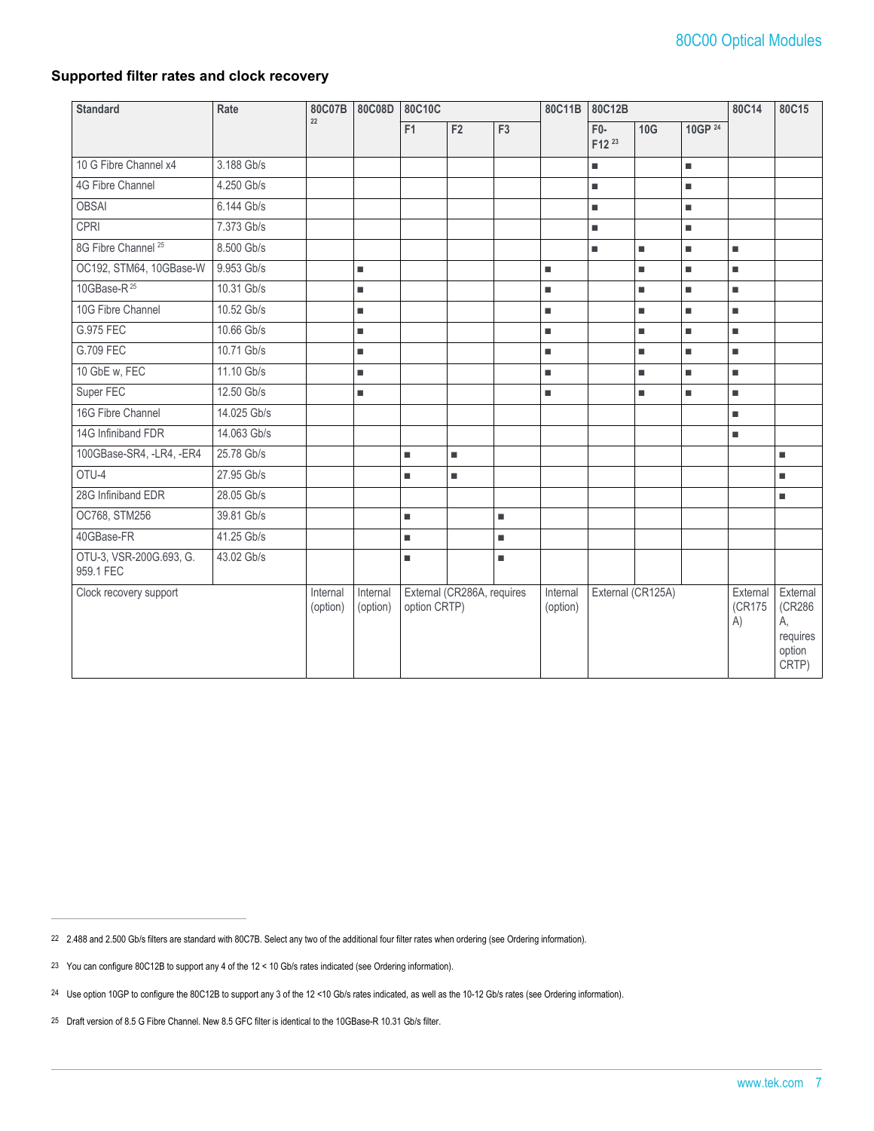#### **Supported filter rates and clock recovery**

| <b>Standard</b>                      | Rate        | 80C07B               | 80C08D               | 80C10C       |                            | 80C11B<br>80C12B |                      |                                        | 80C14             | 80C15   |                          |                                                         |
|--------------------------------------|-------------|----------------------|----------------------|--------------|----------------------------|------------------|----------------------|----------------------------------------|-------------------|---------|--------------------------|---------------------------------------------------------|
|                                      |             | 22                   |                      | F1           | F <sub>2</sub>             | F3               |                      | $F0-$<br>F <sub>12</sub> <sup>23</sup> | 10G               | 10GP 24 |                          |                                                         |
| 10 G Fibre Channel x4                | 3.188 Gb/s  |                      |                      |              |                            |                  |                      | ٠                                      |                   | ٠       |                          |                                                         |
| 4G Fibre Channel                     | 4.250 Gb/s  |                      |                      |              |                            |                  |                      | ٠                                      |                   | ٠       |                          |                                                         |
| <b>OBSAI</b>                         | 6.144 Gb/s  |                      |                      |              |                            |                  |                      | ٠                                      |                   | ٠       |                          |                                                         |
| CPRI                                 | 7.373 Gb/s  |                      |                      |              |                            |                  |                      | ٠                                      |                   | ٠       |                          |                                                         |
| 8G Fibre Channel <sup>25</sup>       | 8.500 Gb/s  |                      |                      |              |                            |                  |                      | ٠                                      | ٠                 | ٠       | ٠                        |                                                         |
| OC192, STM64, 10GBase-W              | 9.953 Gb/s  |                      | ٠                    |              |                            |                  | ٠                    |                                        | $\blacksquare$    | ٠       | ٠                        |                                                         |
| 10GBase-R <sup>25</sup>              | 10.31 Gb/s  |                      | ٠                    |              |                            |                  | u,                   |                                        | ٠                 | ٠       | ٠                        |                                                         |
| 10G Fibre Channel                    | 10.52 Gb/s  |                      | ٠                    |              |                            |                  | ٠                    |                                        | ٠                 | ٠       | ٠                        |                                                         |
| G.975 FEC                            | 10.66 Gb/s  |                      | ٠                    |              |                            |                  | ٠                    |                                        | ٠                 | ٠       | ٠                        |                                                         |
| G.709 FEC                            | 10.71 Gb/s  |                      | ٠                    |              |                            |                  | ٠                    |                                        | ٠                 | ٠       | ٠                        |                                                         |
| 10 GbE w, FEC                        | 11.10 Gb/s  |                      | ٠                    |              |                            |                  | ш                    |                                        | ٠                 | ٠       | ٠                        |                                                         |
| Super FEC                            | 12.50 Gb/s  |                      | ٠                    |              |                            |                  | ٠                    |                                        | п                 | ٠       | ٠                        |                                                         |
| 16G Fibre Channel                    | 14.025 Gb/s |                      |                      |              |                            |                  |                      |                                        |                   |         | ٠                        |                                                         |
| 14G Infiniband FDR                   | 14.063 Gb/s |                      |                      |              |                            |                  |                      |                                        |                   |         | $\blacksquare$           |                                                         |
| 100GBase-SR4, -LR4, -ER4             | 25.78 Gb/s  |                      |                      | ٠            | ٠                          |                  |                      |                                        |                   |         |                          | ٠                                                       |
| OTU-4                                | 27.95 Gb/s  |                      |                      | ٠            | ٠                          |                  |                      |                                        |                   |         |                          | ٠                                                       |
| 28G Infiniband EDR                   | 28.05 Gb/s  |                      |                      |              |                            |                  |                      |                                        |                   |         |                          | ٠                                                       |
| OC768, STM256                        | 39.81 Gb/s  |                      |                      | u,           |                            | $\blacksquare$   |                      |                                        |                   |         |                          |                                                         |
| 40GBase-FR                           | 41.25 Gb/s  |                      |                      | ٠            |                            | ٠                |                      |                                        |                   |         |                          |                                                         |
| OTU-3, VSR-200G.693, G.<br>959.1 FEC | 43.02 Gb/s  |                      |                      | п            |                            | ٠                |                      |                                        |                   |         |                          |                                                         |
| Clock recovery support               |             | Internal<br>(option) | Internal<br>(option) | option CRTP) | External (CR286A, requires |                  | Internal<br>(option) |                                        | External (CR125A) |         | External<br>(CR175<br>A) | External<br>(CR286<br>А.<br>requires<br>option<br>CRTP) |

<sup>22</sup> 2.488 and 2.500 Gb/s filters are standard with 80C7B. Select any two of the additional four filter rates when ordering (see Ordering information).

<sup>23</sup> You can configure 80C12B to support any 4 of the 12 < 10 Gb/s rates indicated (see Ordering information).

<sup>24</sup> Use option 10GP to configure the 80C12B to support any 3 of the 12 <10 Gb/s rates indicated, as well as the 10-12 Gb/s rates (see Ordering information).

<sup>25</sup> Draft version of 8.5 G Fibre Channel. New 8.5 GFC filter is identical to the 10GBase-R 10.31 Gb/s filter.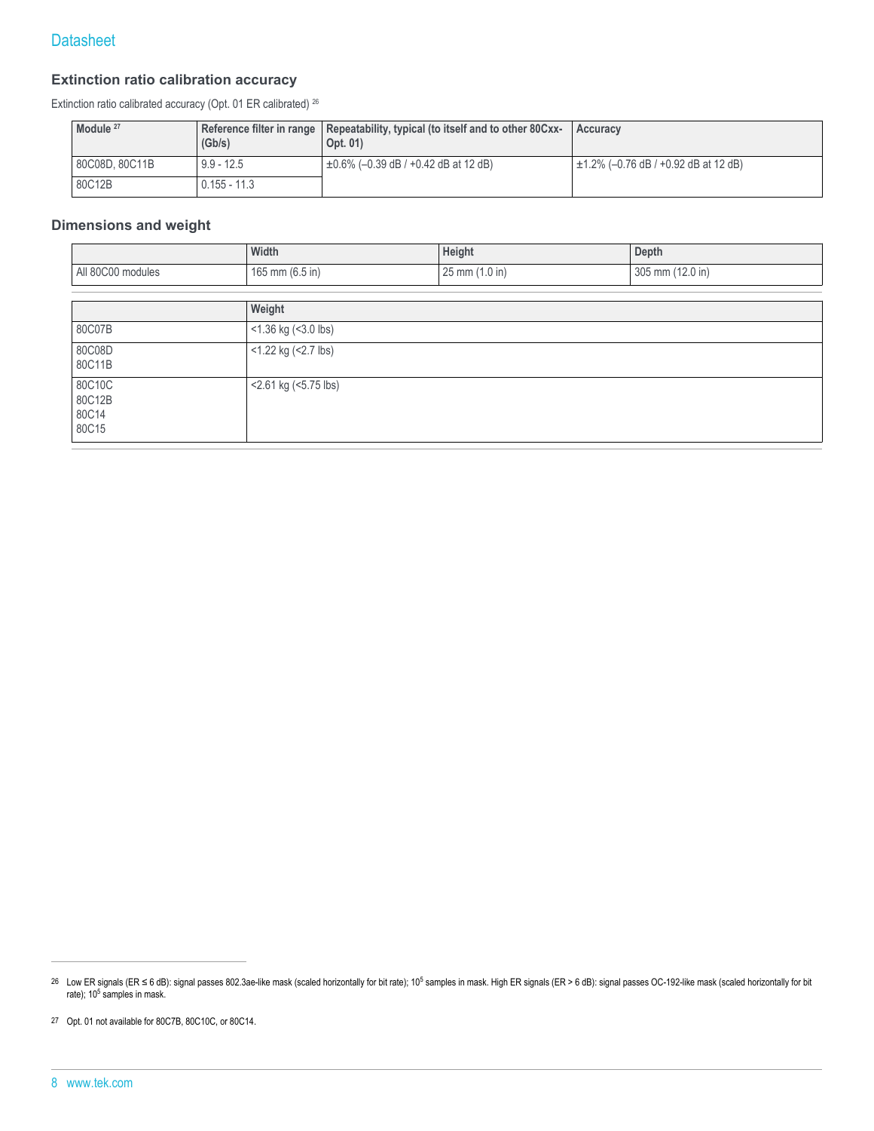#### **Extinction ratio calibration accuracy**

Extinction ratio calibrated accuracy (Opt. 01 ER calibrated) <sup>26</sup>

| Module <sup>27</sup> | (Gb/s)         | Reference filter in range   Repeatability, typical (to itself and to other 80Cxx-<br>Opt. 01) | Accuracy                                  |
|----------------------|----------------|-----------------------------------------------------------------------------------------------|-------------------------------------------|
| 80C08D, 80C11B       | $9.9 - 12.5$   | $+0.6\%$ (-0.39 dB / +0.42 dB at 12 dB)                                                       | $\pm$ 1.2% (-0.76 dB / +0.92 dB at 12 dB) |
| 80C12B               | $0.155 - 11.3$ |                                                                                               |                                           |

### **Dimensions and weight**

|                                    | Width                | Height         | Depth            |  |  |
|------------------------------------|----------------------|----------------|------------------|--|--|
| All 80C00 modules                  | 165 mm (6.5 in)      | 25 mm (1.0 in) | 305 mm (12.0 in) |  |  |
|                                    |                      |                |                  |  |  |
|                                    | Weight               |                |                  |  |  |
| 80C07B                             | <1.36 kg (<3.0 lbs)  |                |                  |  |  |
| 80C08D<br>80C11B                   | <1.22 kg (<2.7 lbs)  |                |                  |  |  |
| 80C10C<br>80C12B<br>80C14<br>80C15 | <2.61 kg (<5.75 lbs) |                |                  |  |  |

27 Opt. 01 not available for 80C7B, 80C10C, or 80C14.

<sup>&</sup>lt;sup>26</sup> Low ER signals (ER ≤ 6 dB): signal passes 802.3ae-like mask (scaled horizontally for bit rate); 10<sup>5</sup> samples in mask. High ER signals (ER > 6 dB): signal passes OC-192-like mask (scaled horizontally for bit rate); 10<sup>5</sup> samples in mask.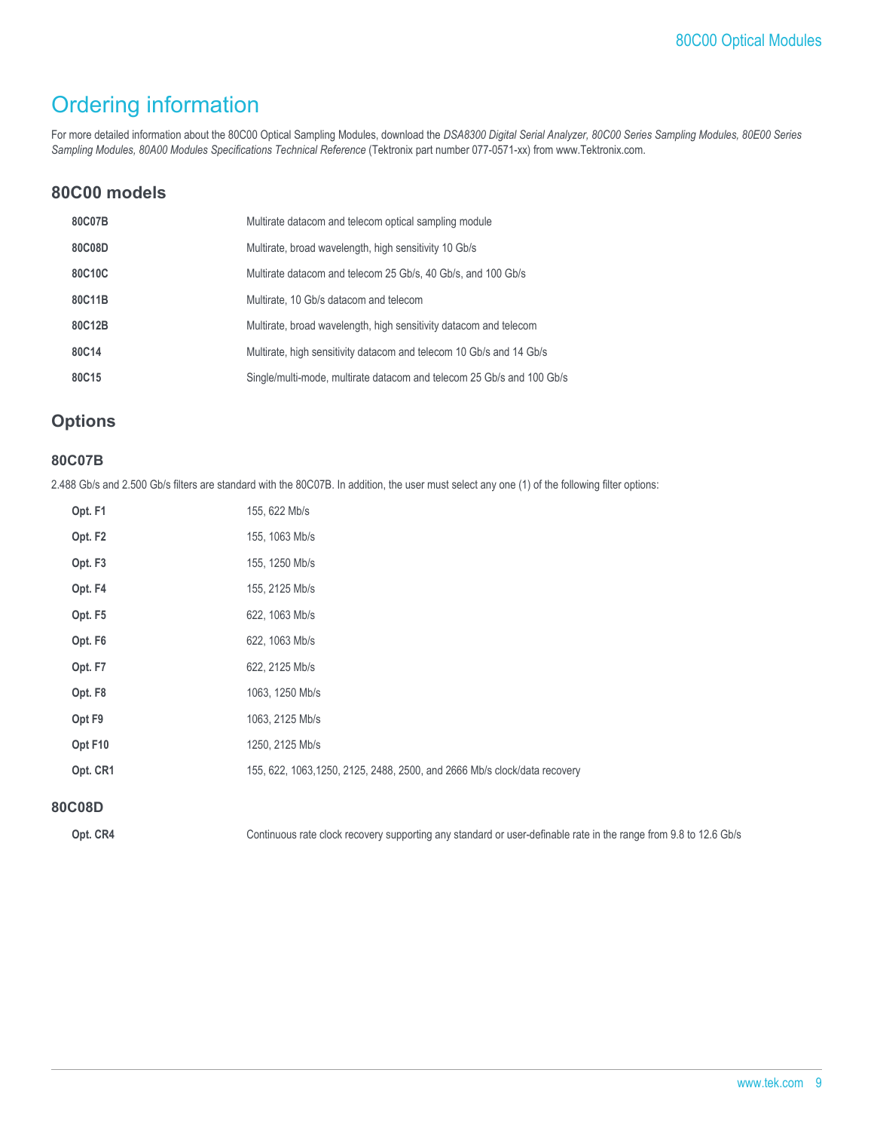## Ordering information

For more detailed information about the 80C00 Optical Sampling Modules, download the *DSA8300 Digital Serial Analyzer, 80C00 Series Sampling Modules, 80E00 Series Sampling Modules, 80A00 Modules Specifications Technical Reference* (Tektronix part number 077-0571-xx) from www.Tektronix.com.

## **80C00 models**

| 80C07B | Multirate datacom and telecom optical sampling module                 |
|--------|-----------------------------------------------------------------------|
| 80C08D | Multirate, broad wavelength, high sensitivity 10 Gb/s                 |
| 80C10C | Multirate datacom and telecom 25 Gb/s, 40 Gb/s, and 100 Gb/s          |
| 80C11B | Multirate, 10 Gb/s datacom and telecom                                |
| 80C12B | Multirate, broad wavelength, high sensitivity datacom and telecom     |
| 80C14  | Multirate, high sensitivity datacom and telecom 10 Gb/s and 14 Gb/s   |
| 80C15  | Single/multi-mode, multirate datacom and telecom 25 Gb/s and 100 Gb/s |
|        |                                                                       |

## **Options**

#### **80C07B**

2.488 Gb/s and 2.500 Gb/s filters are standard with the 80C07B. In addition, the user must select any one (1) of the following filter options:

| Opt. F1             | 155, 622 Mb/s                                                             |
|---------------------|---------------------------------------------------------------------------|
| Opt. F <sub>2</sub> | 155, 1063 Mb/s                                                            |
| Opt. F <sub>3</sub> | 155, 1250 Mb/s                                                            |
| Opt. F4             | 155, 2125 Mb/s                                                            |
| Opt. F5             | 622, 1063 Mb/s                                                            |
| Opt. F <sub>6</sub> | 622, 1063 Mb/s                                                            |
| Opt. F7             | 622, 2125 Mb/s                                                            |
| Opt. F8             | 1063, 1250 Mb/s                                                           |
| Opt F9              | 1063, 2125 Mb/s                                                           |
| Opt F10             | 1250, 2125 Mb/s                                                           |
| Opt. CR1            | 155, 622, 1063, 1250, 2125, 2488, 2500, and 2666 Mb/s clock/data recovery |

#### **80C08D**

Opt. CR4 Continuous rate clock recovery supporting any standard or user-definable rate in the range from 9.8 to 12.6 Gb/s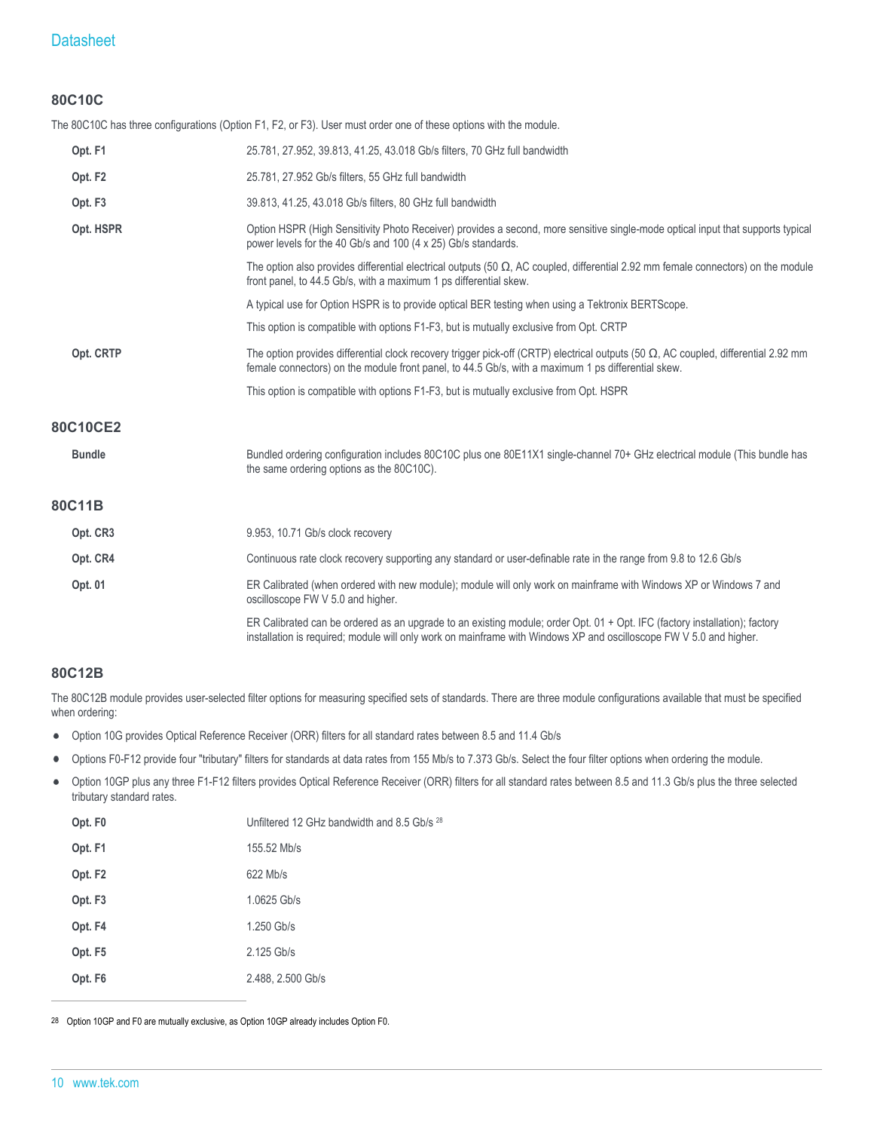## **Datasheet**

#### **80C10C**

The 80C10C has three configurations (Option F1, F2, or F3). User must order one of these options with the module.

| Opt. F1             | 25.781, 27.952, 39.813, 41.25, 43.018 Gb/s filters, 70 GHz full bandwidth                                                                                                                                                                          |
|---------------------|----------------------------------------------------------------------------------------------------------------------------------------------------------------------------------------------------------------------------------------------------|
| Opt. F <sub>2</sub> | 25.781, 27.952 Gb/s filters, 55 GHz full bandwidth                                                                                                                                                                                                 |
| Opt. F <sub>3</sub> | 39.813, 41.25, 43.018 Gb/s filters, 80 GHz full bandwidth                                                                                                                                                                                          |
| Opt. HSPR           | Option HSPR (High Sensitivity Photo Receiver) provides a second, more sensitive single-mode optical input that supports typical<br>power levels for the 40 Gb/s and 100 (4 x 25) Gb/s standards.                                                   |
|                     | The option also provides differential electrical outputs (50 $\Omega$ , AC coupled, differential 2.92 mm female connectors) on the module<br>front panel, to 44.5 Gb/s, with a maximum 1 ps differential skew.                                     |
|                     | A typical use for Option HSPR is to provide optical BER testing when using a Tektronix BERTScope.                                                                                                                                                  |
|                     | This option is compatible with options F1-F3, but is mutually exclusive from Opt. CRTP                                                                                                                                                             |
| Opt. CRTP           | The option provides differential clock recovery trigger pick-off (CRTP) electrical outputs (50 $\Omega$ , AC coupled, differential 2.92 mm<br>female connectors) on the module front panel, to 44.5 Gb/s, with a maximum 1 ps differential skew.   |
|                     | This option is compatible with options F1-F3, but is mutually exclusive from Opt. HSPR                                                                                                                                                             |
| 80C10CE2            |                                                                                                                                                                                                                                                    |
| <b>Bundle</b>       | Bundled ordering configuration includes 80C10C plus one 80E11X1 single-channel 70+ GHz electrical module (This bundle has<br>the same ordering options as the 80C10C).                                                                             |
| 80C11B              |                                                                                                                                                                                                                                                    |
| Opt. CR3            | 9.953, 10.71 Gb/s clock recovery                                                                                                                                                                                                                   |
| Opt. CR4            | Continuous rate clock recovery supporting any standard or user-definable rate in the range from 9.8 to 12.6 Gb/s                                                                                                                                   |
| Opt. 01             | ER Calibrated (when ordered with new module); module will only work on mainframe with Windows XP or Windows 7 and<br>oscilloscope FW V 5.0 and higher.                                                                                             |
|                     | ER Calibrated can be ordered as an upgrade to an existing module; order Opt. $01 +$ Opt. IFC (factory installation); factory<br>installation is required; module will only work on mainframe with Windows XP and oscilloscope FW V 5.0 and higher. |

#### **80C12B**

The 80C12B module provides user-selected filter options for measuring specified sets of standards. There are three module configurations available that must be specified when ordering:

- Option 10G provides Optical Reference Receiver (ORR) filters for all standard rates between 8.5 and 11.4 Gb/s  $\bullet$
- Options F0-F12 provide four "tributary" filters for standards at data rates from 155 Mb/s to 7.373 Gb/s. Select the four filter options when ordering the module.  $\bullet$
- Option 10GP plus any three F1-F12 filters provides Optical Reference Receiver (ORR) filters for all standard rates between 8.5 and 11.3 Gb/s plus the three selected  $\bullet$ tributary standard rates.

| Opt. F0             | Unfiltered 12 GHz bandwidth and 8.5 Gb/s <sup>28</sup> |
|---------------------|--------------------------------------------------------|
| Opt. F1             | 155.52 Mb/s                                            |
| Opt. F <sub>2</sub> | 622 Mb/s                                               |
| Opt. F <sub>3</sub> | 1.0625 Gb/s                                            |
| Opt. F4             | 1.250 Gb/s                                             |
| Opt. F5             | 2.125 Gb/s                                             |
| Opt. F <sub>6</sub> | 2.488, 2.500 Gb/s                                      |

28 Option 10GP and F0 are mutually exclusive, as Option 10GP already includes Option F0.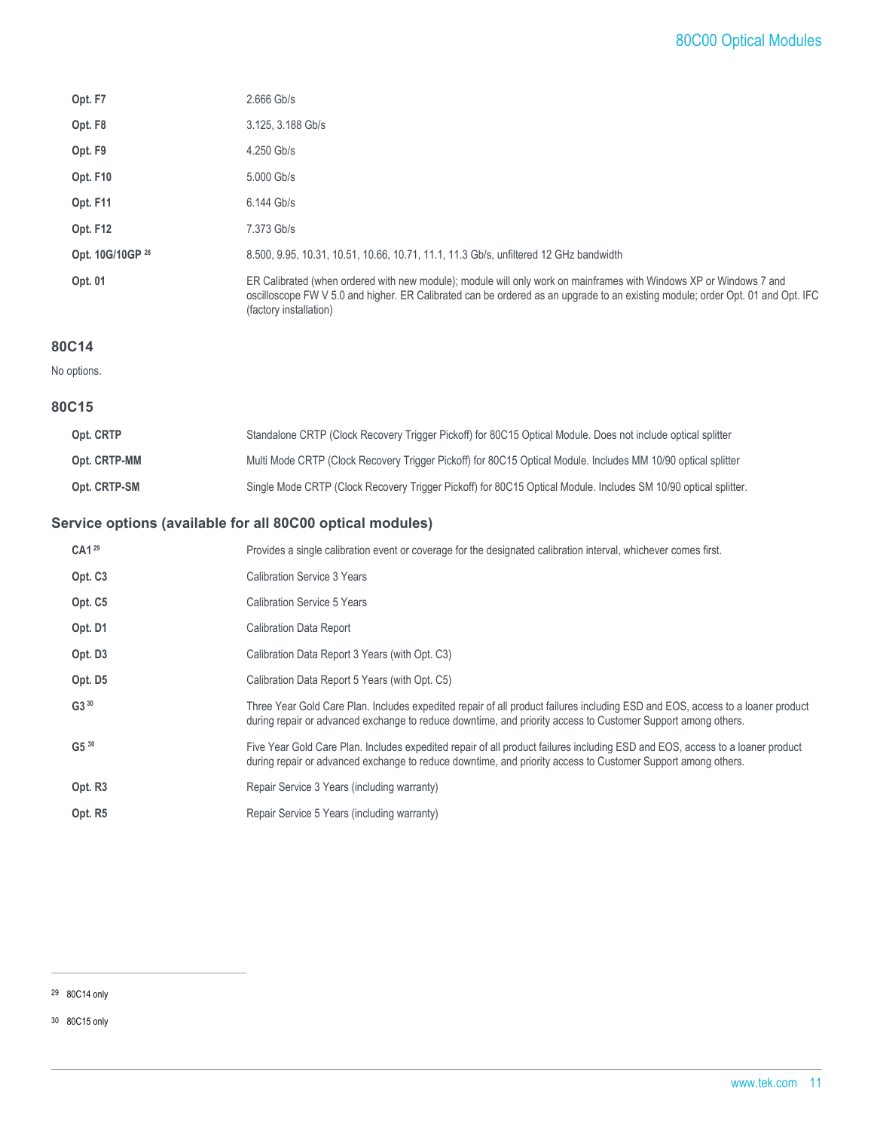| Opt. F7             | $2.666$ Gb/s                                                                                                                                                                                                                                                                   |
|---------------------|--------------------------------------------------------------------------------------------------------------------------------------------------------------------------------------------------------------------------------------------------------------------------------|
| Opt. F <sub>8</sub> | 3.125, 3.188 Gb/s                                                                                                                                                                                                                                                              |
| Opt. F9             | 4.250 Gb/s                                                                                                                                                                                                                                                                     |
| Opt. F10            | 5.000 Gb/s                                                                                                                                                                                                                                                                     |
| Opt. F11            | 6.144 Gb/s                                                                                                                                                                                                                                                                     |
| Opt. F12            | 7.373 Gb/s                                                                                                                                                                                                                                                                     |
| Opt. 10G/10GP 28    | 8.500, 9.95, 10.31, 10.51, 10.66, 10.71, 11.1, 11.3 Gb/s, unfiltered 12 GHz bandwidth                                                                                                                                                                                          |
| Opt. 01             | ER Calibrated (when ordered with new module); module will only work on mainframes with Windows XP or Windows 7 and<br>oscilloscope FW V 5.0 and higher. ER Calibrated can be ordered as an upgrade to an existing module; order Opt. 01 and Opt. IFC<br>(factory installation) |

#### **80C14**

No options.

#### **80C15**

| Opt. CRTP    | Standalone CRTP (Clock Recovery Trigger Pickoff) for 80C15 Optical Module. Does not include optical splitter    |
|--------------|-----------------------------------------------------------------------------------------------------------------|
| Opt. CRTP-MM | Multi Mode CRTP (Clock Recovery Trigger Pickoff) for 80C15 Optical Module. Includes MM 10/90 optical splitter   |
| Opt. CRTP-SM | Single Mode CRTP (Clock Recovery Trigger Pickoff) for 80C15 Optical Module. Includes SM 10/90 optical splitter. |

## **Service options (available for all 80C00 optical modules)**

| CA1 <sup>29</sup>   | Provides a single calibration event or coverage for the designated calibration interval, whichever comes first.                                                                                                                                |
|---------------------|------------------------------------------------------------------------------------------------------------------------------------------------------------------------------------------------------------------------------------------------|
| Opt. C <sub>3</sub> | Calibration Service 3 Years                                                                                                                                                                                                                    |
| Opt. C5             | Calibration Service 5 Years                                                                                                                                                                                                                    |
| Opt. D1             | <b>Calibration Data Report</b>                                                                                                                                                                                                                 |
| Opt. D3             | Calibration Data Report 3 Years (with Opt. C3)                                                                                                                                                                                                 |
| Opt. D5             | Calibration Data Report 5 Years (with Opt. C5)                                                                                                                                                                                                 |
| $G3^{30}$           | Three Year Gold Care Plan. Includes expedited repair of all product failures including ESD and EOS, access to a loaner product<br>during repair or advanced exchange to reduce downtime, and priority access to Customer Support among others. |
| $G5^{30}$           | Five Year Gold Care Plan. Includes expedited repair of all product failures including ESD and EOS, access to a loaner product<br>during repair or advanced exchange to reduce downtime, and priority access to Customer Support among others.  |
| Opt. R <sub>3</sub> | Repair Service 3 Years (including warranty)                                                                                                                                                                                                    |
| Opt. R5             | Repair Service 5 Years (including warranty)                                                                                                                                                                                                    |

30 80C15 only

<sup>29</sup> 80C14 only